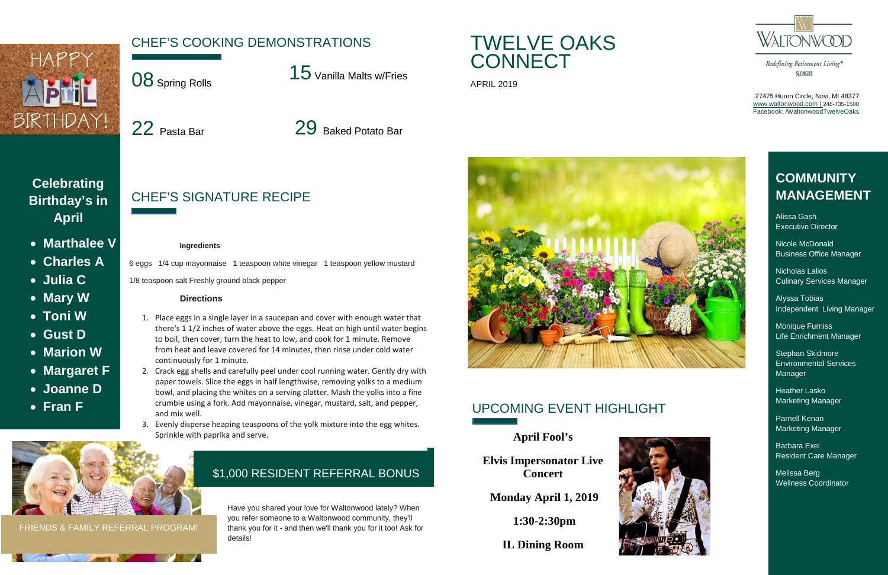

27475 Huron Circle, Novi, MI 48377 [www.waltonwood.com](http://www.waltonwood.com/) | 248-735-1500 Facebook: /WaltonwoodTwelveOaks



## UPCOMING EVENT HIGHLIGHT

**April Fool's** 

**Elvis Impersonator Live Concert** 

**Monday April 1, 2019** 

**1:30-2:30pm** 

**IL Dining Room**





## **COMMUNITY MANAGEMENT**

Alissa Gash Executive Director

Nicole McDonald Business Office Manager

TWELVE OAKS **CONNECT** 

| <b>APRIL 2019</b> |
|-------------------|
|                   |



Nicholas Lalios Culinary Services Manager

Alyssa Tobias Independent Living Manager

Monique Furniss Life Enrichment Manager

Stephan Skidmore Environmental Services Manager

Heather Lasko Marketing Manager

Parnell Kenan Marketing Manager

Barbara Exel Resident Care Manager

Melissa Berg Wellness Coordinator

#### \$1,000 RESIDENT REFERRAL BONUS

Have you shared your love for Waltonwood lately? When you refer someone to a Waltonwood community, they'll thank you for it - and then we'll thank you for it too! Ask for details!

FRIENDS & FAMILY REFERRAL PROGRAM!



Redefining Retirement Living® SINGE

### **Celebrating Birthday's in April**

- **Marthalee V**
- **Charles A**
- **Julia C**
- **Mary W**
- **Toni W**
- **Gust D**
- **Marion W**
- **Margaret F**
- **Joanne D**
- **Fran F**

## CHEF'S COOKING DEMONSTRATIONS

08 Spring Rolls

22 Pasta Bar 29 Baked Potato Bar

15 Vanilla Malts w/Fries

CHEF'S SIGNATURE RECIPE

#### **Ingredients**

- 6 eggs 1/4 cup mayonnaise 1 teaspoon white vinegar 1 teaspoon yellow mustard
- 1/8 teaspoon salt Freshly ground black pepper

#### **Directions**

- 1. Place eggs in a single layer in a saucepan and cover with enough water that there's 1 1/2 inches of water above the eggs. Heat on high until water begins to boil, then cover, turn the heat to low, and cook for 1 minute. Remove from heat and leave covered for 14 minutes, then rinse under cold water continuously for 1 minute.
- 2. Crack egg shells and carefully peel under cool running water. Gently dry with paper towels. Slice the eggs in half lengthwise, removing yolks to a medium bowl, and placing the whites on a serving platter. Mash the yolks into a fine crumble using a fork. Add mayonnaise, vinegar, mustard, salt, and pepper, and mix well.
- 3. Evenly disperse heaping teaspoons of the yolk mixture into the egg whites. Sprinkle with paprika and serve.